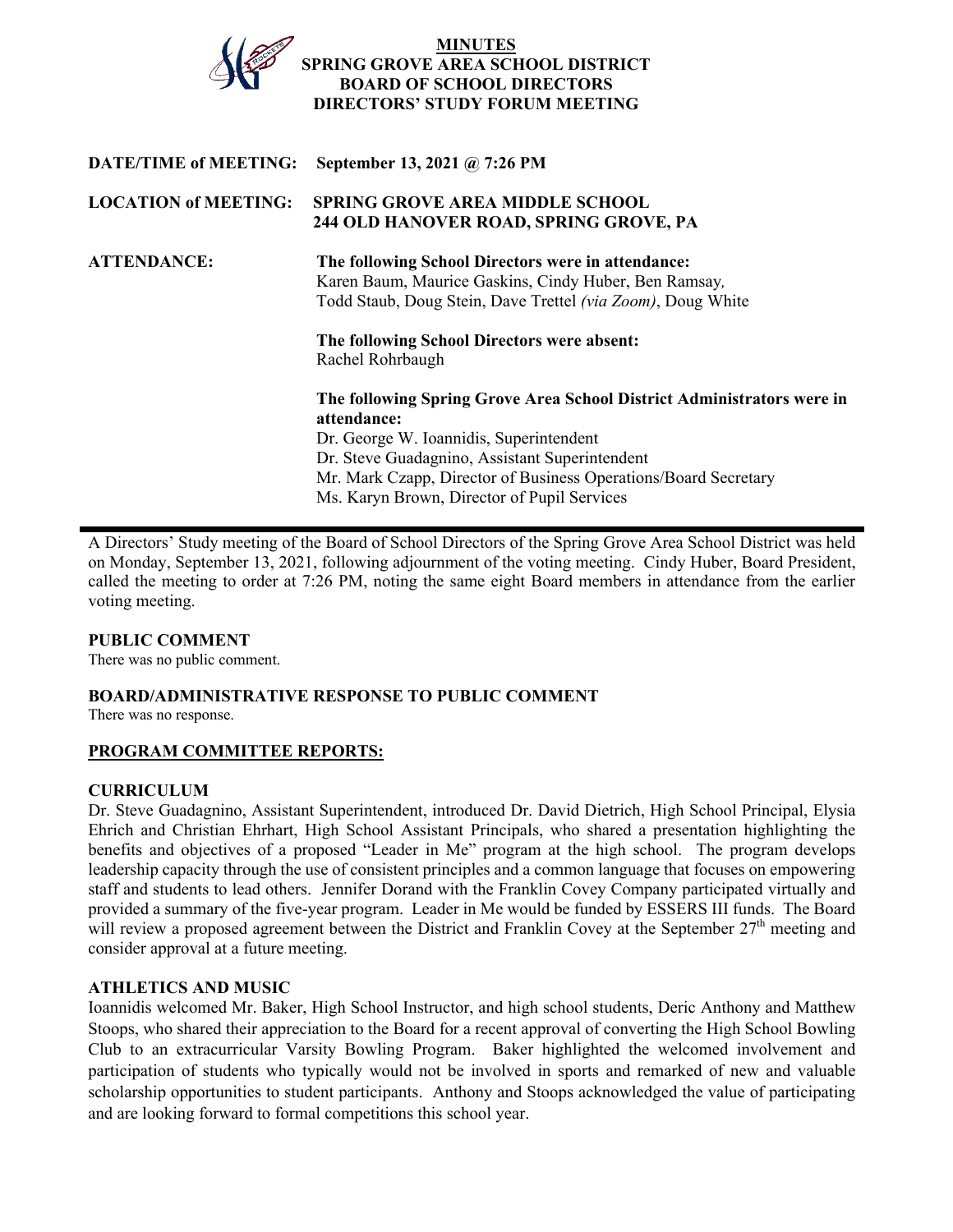

**LOCATION of MEETING: SPRING GROVE AREA MIDDLE SCHOOL ATTENDANCE: The following School Directors were in attendance:**  Todd Staub, Doug Stein, Dave Trettel *(via Zoom)*, Doug White **The following School Directors were absent:**  Rachel Rohrbaugh **The following Spring Grove Area School District Administrators were in attendance:**  Dr. George W. Ioannidis, Superintendent Dr. Steve Guadagnino, Assistant Superintendent Mr. Mark Czapp, Director of Business Operations/Board Secretary Ms. Karyn Brown, Director of Pupil Services

A Directors' Study meeting of the Board of School Directors of the Spring Grove Area School District was held on Monday, September 13, 2021, following adjournment of the voting meeting. Cindy Huber, Board President, called the meeting to order at 7:26 PM, noting the same eight Board members in attendance from the earlier voting meeting.

## **PUBLIC COMMENT**

There was no public comment.

# **BOARD/ADMINISTRATIVE RESPONSE TO PUBLIC COMMENT**

There was no response.

## **PROGRAM COMMITTEE REPORTS:**

## **CURRICULUM**

Dr. Steve Guadagnino, Assistant Superintendent, introduced Dr. David Dietrich, High School Principal, Elysia Ehrich and Christian Ehrhart, High School Assistant Principals, who shared a presentation highlighting the benefits and objectives of a proposed "Leader in Me" program at the high school. The program develops leadership capacity through the use of consistent principles and a common language that focuses on empowering staff and students to lead others. Jennifer Dorand with the Franklin Covey Company participated virtually and provided a summary of the five-year program. Leader in Me would be funded by ESSERS III funds. The Board will review a proposed agreement between the District and Franklin Covey at the September 27<sup>th</sup> meeting and consider approval at a future meeting.

## **ATHLETICS AND MUSIC**

Ioannidis welcomed Mr. Baker, High School Instructor, and high school students, Deric Anthony and Matthew Stoops, who shared their appreciation to the Board for a recent approval of converting the High School Bowling Club to an extracurricular Varsity Bowling Program. Baker highlighted the welcomed involvement and participation of students who typically would not be involved in sports and remarked of new and valuable scholarship opportunities to student participants. Anthony and Stoops acknowledged the value of participating and are looking forward to formal competitions this school year.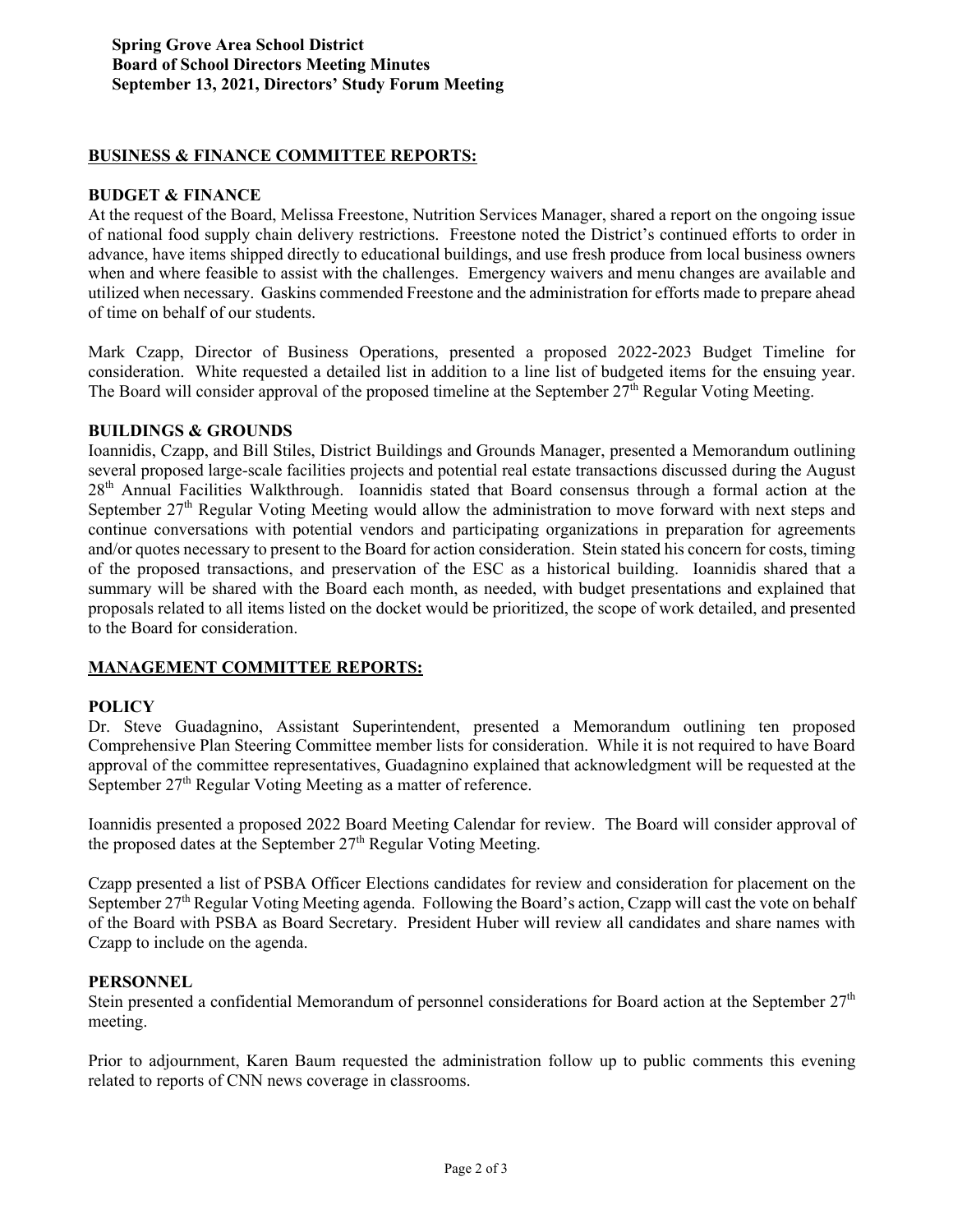### **BUSINESS & FINANCE COMMITTEE REPORTS:**

### **BUDGET & FINANCE**

At the request of the Board, Melissa Freestone, Nutrition Services Manager, shared a report on the ongoing issue of national food supply chain delivery restrictions. Freestone noted the District's continued efforts to order in advance, have items shipped directly to educational buildings, and use fresh produce from local business owners when and where feasible to assist with the challenges. Emergency waivers and menu changes are available and utilized when necessary. Gaskins commended Freestone and the administration for efforts made to prepare ahead of time on behalf of our students.

Mark Czapp, Director of Business Operations, presented a proposed 2022-2023 Budget Timeline for consideration. White requested a detailed list in addition to a line list of budgeted items for the ensuing year. The Board will consider approval of the proposed timeline at the September  $27<sup>th</sup>$  Regular Voting Meeting.

#### **BUILDINGS & GROUNDS**

Ioannidis, Czapp, and Bill Stiles, District Buildings and Grounds Manager, presented a Memorandum outlining several proposed large-scale facilities projects and potential real estate transactions discussed during the August 28th Annual Facilities Walkthrough. Ioannidis stated that Board consensus through a formal action at the September 27<sup>th</sup> Regular Voting Meeting would allow the administration to move forward with next steps and continue conversations with potential vendors and participating organizations in preparation for agreements and/or quotes necessary to present to the Board for action consideration. Stein stated his concern for costs, timing of the proposed transactions, and preservation of the ESC as a historical building. Ioannidis shared that a summary will be shared with the Board each month, as needed, with budget presentations and explained that proposals related to all items listed on the docket would be prioritized, the scope of work detailed, and presented to the Board for consideration.

### **MANAGEMENT COMMITTEE REPORTS:**

### **POLICY**

Dr. Steve Guadagnino, Assistant Superintendent, presented a Memorandum outlining ten proposed Comprehensive Plan Steering Committee member lists for consideration. While it is not required to have Board approval of the committee representatives, Guadagnino explained that acknowledgment will be requested at the September 27<sup>th</sup> Regular Voting Meeting as a matter of reference.

Ioannidis presented a proposed 2022 Board Meeting Calendar for review. The Board will consider approval of the proposed dates at the September  $27<sup>th</sup>$  Regular Voting Meeting.

Czapp presented a list of PSBA Officer Elections candidates for review and consideration for placement on the September 27<sup>th</sup> Regular Voting Meeting agenda. Following the Board's action, Czapp will cast the vote on behalf of the Board with PSBA as Board Secretary. President Huber will review all candidates and share names with Czapp to include on the agenda.

#### **PERSONNEL**

Stein presented a confidential Memorandum of personnel considerations for Board action at the September  $27<sup>th</sup>$ meeting.

Prior to adjournment, Karen Baum requested the administration follow up to public comments this evening related to reports of CNN news coverage in classrooms.